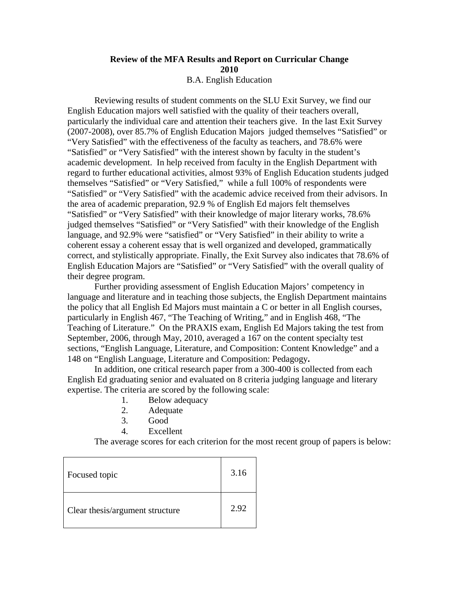## **Review of the MFA Results and Report on Curricular Change 2010**  B.A. English Education

 Reviewing results of student comments on the SLU Exit Survey, we find our English Education majors well satisfied with the quality of their teachers overall, particularly the individual care and attention their teachers give. In the last Exit Survey (2007-2008), over 85.7% of English Education Majors judged themselves "Satisfied" or "Very Satisfied" with the effectiveness of the faculty as teachers, and 78.6% were "Satisfied" or "Very Satisfied" with the interest shown by faculty in the student's academic development. In help received from faculty in the English Department with regard to further educational activities, almost 93% of English Education students judged themselves "Satisfied" or "Very Satisfied," while a full 100% of respondents were "Satisfied" or "Very Satisfied" with the academic advice received from their advisors. In the area of academic preparation, 92.9 % of English Ed majors felt themselves "Satisfied" or "Very Satisfied" with their knowledge of major literary works, 78.6% judged themselves "Satisfied" or "Very Satisfied" with their knowledge of the English language, and 92.9% were "satisfied" or "Very Satisfied" in their ability to write a coherent essay a coherent essay that is well organized and developed, grammatically correct, and stylistically appropriate. Finally, the Exit Survey also indicates that 78.6% of English Education Majors are "Satisfied" or "Very Satisfied" with the overall quality of their degree program.

Further providing assessment of English Education Majors' competency in language and literature and in teaching those subjects, the English Department maintains the policy that all English Ed Majors must maintain a C or better in all English courses, particularly in English 467, "The Teaching of Writing," and in English 468, "The Teaching of Literature." On the PRAXIS exam, English Ed Majors taking the test from September, 2006, through May, 2010, averaged a 167 on the content specialty test sections, "English Language, Literature, and Composition: Content Knowledge" and a 148 on "English Language, Literature and Composition: Pedagogy**.** 

In addition, one critical research paper from a 300-400 is collected from each English Ed graduating senior and evaluated on 8 criteria judging language and literary expertise. The criteria are scored by the following scale:

- 1. Below adequacy
- 2. Adequate
- 3. Good
- 4. Excellent

The average scores for each criterion for the most recent group of papers is below:

| Focused topic                   | 3.16 |
|---------------------------------|------|
| Clear thesis/argument structure | 2.92 |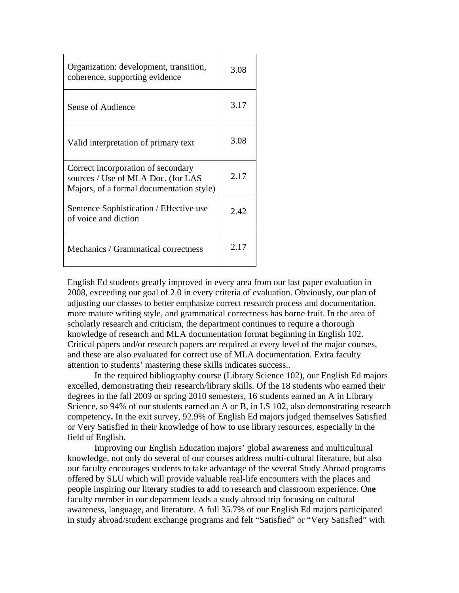| Organization: development, transition,<br>coherence, supporting evidence                                             | 3.08 |
|----------------------------------------------------------------------------------------------------------------------|------|
| Sense of Audience                                                                                                    | 3.17 |
| Valid interpretation of primary text                                                                                 | 3.08 |
| Correct incorporation of secondary<br>sources / Use of MLA Doc. (for LAS<br>Majors, of a formal documentation style) | 2.17 |
| Sentence Sophistication / Effective use<br>of voice and diction                                                      | 2.42 |
| Mechanics / Grammatical correctness                                                                                  | 2.17 |

English Ed students greatly improved in every area from our last paper evaluation in 2008, exceeding our goal of 2.0 in every criteria of evaluation. Obviously, our plan of adjusting our classes to better emphasize correct research process and documentation, more mature writing style, and grammatical correctness has borne fruit. In the area of scholarly research and criticism, the department continues to require a thorough knowledge of research and MLA documentation format beginning in English 102. Critical papers and/or research papers are required at every level of the major courses, and these are also evaluated for correct use of MLA documentation. Extra faculty attention to students' mastering these skills indicates success..

In the required bibliography course (Library Science 102), our English Ed majors excelled, demonstrating their research/library skills. Of the 18 students who earned their degrees in the fall 2009 or spring 2010 semesters, 16 students earned an A in Library Science, so 94% of our students earned an A or B, in LS 102, also demonstrating research competency**.** In the exit survey, 92.9% of English Ed majors judged themselves Satisfied or Very Satisfied in their knowledge of how to use library resources, especially in the field of English**.** 

Improving our English Education majors' global awareness and multicultural knowledge, not only do several of our courses address multi-cultural literature, but also our faculty encourages students to take advantage of the several Study Abroad programs offered by SLU which will provide valuable real-life encounters with the places and people inspiring our literary studies to add to research and classroom experience. On**e**  faculty member in our department leads a study abroad trip focusing on cultural awareness, language, and literature. A full 35.7% of our English Ed majors participated in study abroad/student exchange programs and felt "Satisfied" or "Very Satisfied" with